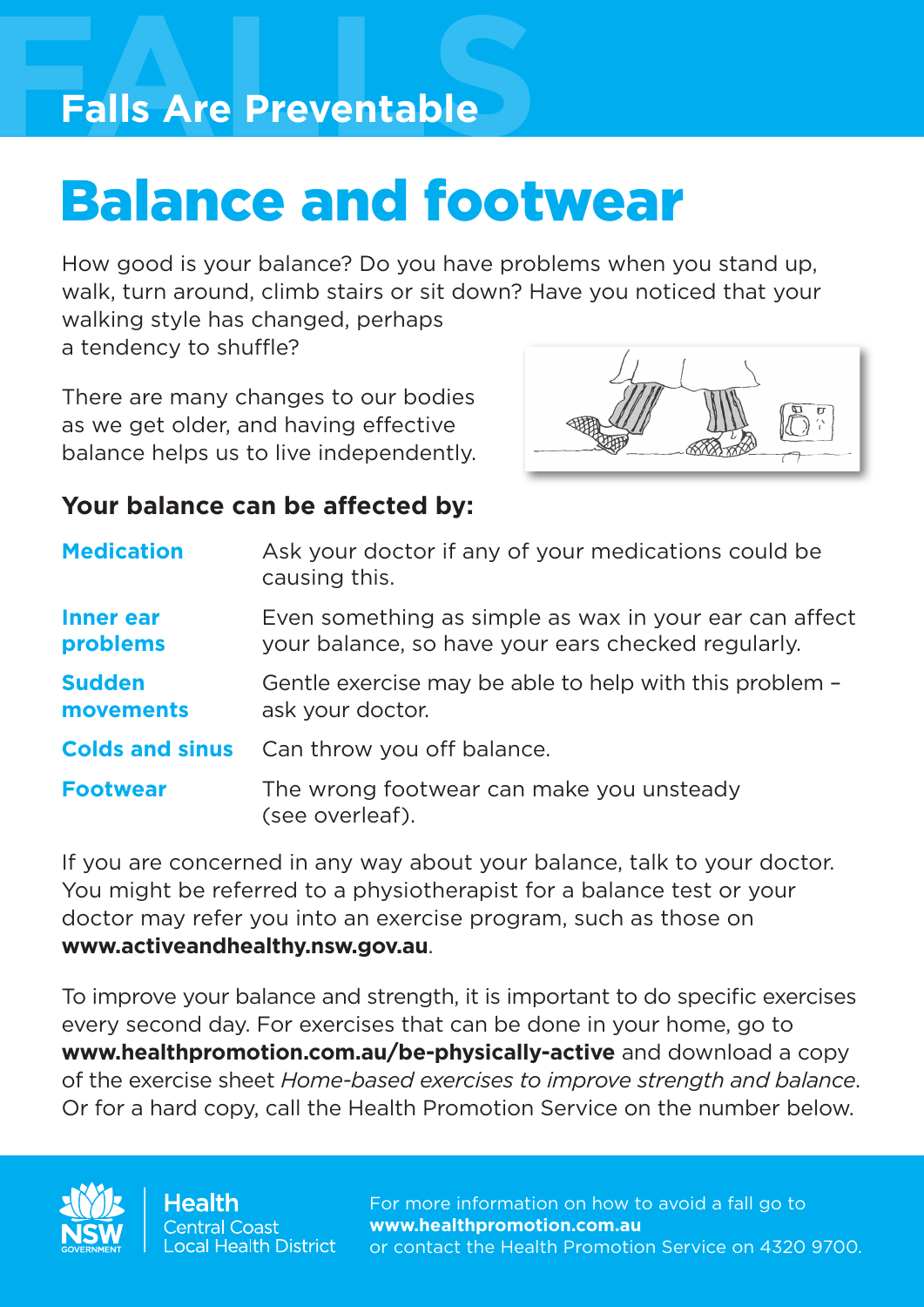### **FALLS Falls Are Preventable**

## Balance and footwear

How good is your balance? Do you have problems when you stand up, walk, turn around, climb stairs or sit down? Have you noticed that your walking style has changed, perhaps a tendency to shuffle?

There are many changes to our bodies as we get older, and having effective balance helps us to live independently.



### **Your balance can be affected by:**

| <b>Medication</b>            | Ask your doctor if any of your medications could be<br>causing this.                                         |
|------------------------------|--------------------------------------------------------------------------------------------------------------|
| <b>Inner ear</b><br>problems | Even something as simple as wax in your ear can affect<br>your balance, so have your ears checked regularly. |
| <b>Sudden</b><br>movements   | Gentle exercise may be able to help with this problem -<br>ask your doctor.                                  |
| <b>Colds and sinus</b>       | Can throw you off balance.                                                                                   |
| <b>Footwear</b>              | The wrong footwear can make you unsteady<br>(see overleaf).                                                  |

If you are concerned in any way about your balance, talk to your doctor. You might be referred to a physiotherapist for a balance test or your doctor may refer you into an exercise program, such as those on **www.activeandhealthy.nsw.gov.au**.

To improve your balance and strength, it is important to do specific exercises every second day. For exercises that can be done in your home, go to **www.healthpromotion.com.au/be-physically-active** and download a copy of the exercise sheet *Home-based exercises to improve strength and balance*. Or for a hard copy, call the Health Promotion Service on the number below.



For more information on how to avoid a fall go to **www.healthpromotion.com.au** or contact the Health Promotion Service on 4320 9700.